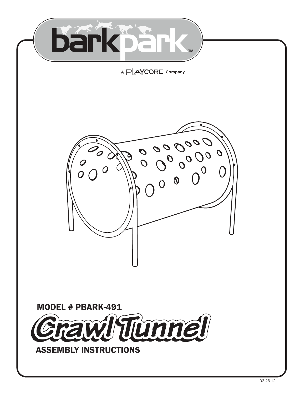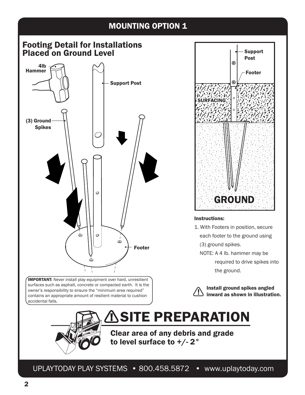# **MOUNTING OPTION 1**

## Footing Detail for Installations Placed on Ground Level



**IMPORTANT:** Never install play equipment over hard, unresilient surfaces such as asphalt, concrete or compacted earth. It is the owner's responsibility to ensure the "minimum area required" contains an appropriate amount of resilient material to cushion accidental falls.



#### Instructions:

- 1. With Footers in position, secure each footer to the ground using (3) ground spikes.
	- NOTE: A 4 lb. hammer may be
		- required to drive spikes into the ground.



 Install ground spikes angled inward as shown in illustration.



Clear area of any debris and grade to level surface to +/-2°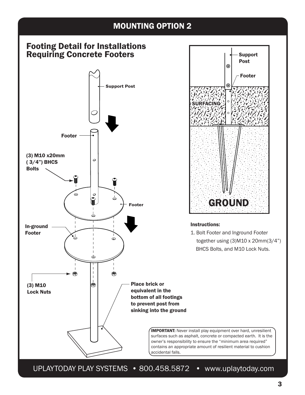# MOUNTING OPTION 2

# Footing Detail for Installations Requiring Concrete Footers Support Post





#### Instructions:

1. Bolt Footer and Inground Footer together using (3)M10 x 20mm(3/4") BHCS Bolts, and M10 Lock Nuts.

**IMPORTANT:** Never install play equipment over hard, unresilient surfaces such as asphalt, concrete or compacted earth. It is the owner's responsibility to ensure the "minimum area required" contains an appropriate amount of resilient material to cushion accidental falls.

UPLAYTODAY PLAY SYSTEMS • 800.458.5872 • www.uplaytoday.com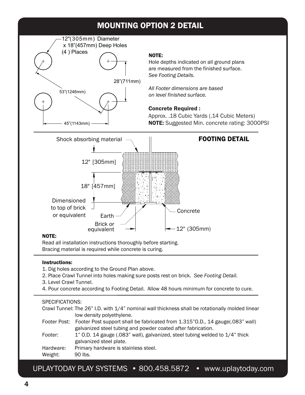# MOUNTING OPTION 2 DETAIL



### NOTE:

Hole depths indicated on all ground plans are measured from the finished surface. *See Footing Details.*

*All Footer dimensions are based on level finished surface.* 

## Concrete Required :

Approx. .18 Cubic Yards (.14 Cubic Meters) 45"(1143mm) —— > NOTE: Suggested Min. concrete rating: 3000PSI



#### NOTE:

-

í

Read all installation instructions thoroughly before starting. Bracing material is required while concrete is curing.

## Instructions:

- 1. Dig holes according to the Ground Plan above.
- 2. Place Crawl Tunnel into holes making sure posts rest on brick. *See Footing Detail.*
- 3. Level Crawl Tunnel.
- 4. Pour concrete according to Footing Detail. Allow 48 hours minimum for concrete to cure.

## SPECIFICATIONS:

Crawl Tunnel: The 26" I.D. with 1/4" nominal wall thickness shall be rotationally molded linear low density polyethylene. Footer Post: Footer Post support shall be fabricated from 1.315"O.D., 14 gauge(.083" wall) galvanized steel tubing and powder coated after fabrication. Footer: 1" O.D. 14 gauge (.083" wall), galvanized, steel tubing welded to 1/4" thick galvanized steel plate.

Hardware: Primary hardware is stainless steel.

Weight: 90 lbs.

UPLAYTODAY PLAY SYSTEMS • 800.458.5872 • www.uplaytoday.com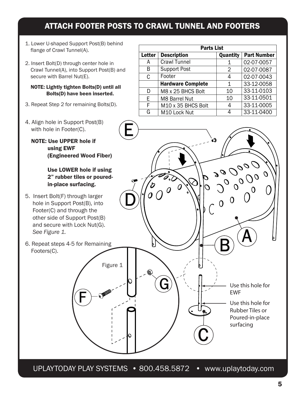# ATTACH FOOTER POSTS TO CRAWL TUNNEL AND FOOTERS

- 1. Lower U-shaped Support Post(B) behind flange of Crawl Tunnel(A).
- 2. Insert Bolt(D) through center hole in Crawl Tunnel(A), into Support Post(B) and secure with Barrel Nut(E).

#### NOTE: Lightly tighten Bolts(D) until all Bolts(D) have been inserted.

- 3. Repeat Step 2 for remaining Bolts(D).
- 4. Align hole in Support Post(B) with hole in Footer(C).
	- NOTE: Use UPPER hole if using EWF (Engineered Wood Fiber)

## Use LOWER hole if using 2" rubber tiles or poured in-place surfacing.

- 5. Insert Bolt(F) through larger hole in Support Post(B), into Footer(C) and through the other side of Support Post(B) and secure with Lock Nut(G).  *See Figure 1.*
- 6. Repeat steps 4-5 for Remaining Footers(C).

| <b>Parts List</b> |                                |          |                    |  |
|-------------------|--------------------------------|----------|--------------------|--|
| Letter            | <b>Description</b>             | Quantity | <b>Part Number</b> |  |
| A                 | <b>Crawl Tunnel</b>            | 1        | 02-07-0057         |  |
| B                 | <b>Support Post</b>            | 2        | 02-07-0087         |  |
| C                 | Footer                         | 4        | 02-07-0043         |  |
|                   | <b>Hardware Complete</b>       | 1        | 33-12-0058         |  |
| D                 | M8 x 25 BHCS Bolt              | 10       | 33-11-0103         |  |
| E                 | <b>M8 Barrel Nut</b>           | 10       | 33-11-0501         |  |
| F                 | M <sub>10</sub> x 35 BHCS Bolt |          | 33-11-0005         |  |
| G                 | M10 Lock Nut                   |          | 33-11-0400         |  |



UPLAYTODAY PLAY SYSTEMS • 800.458.5872 • www.uplaytoday.com